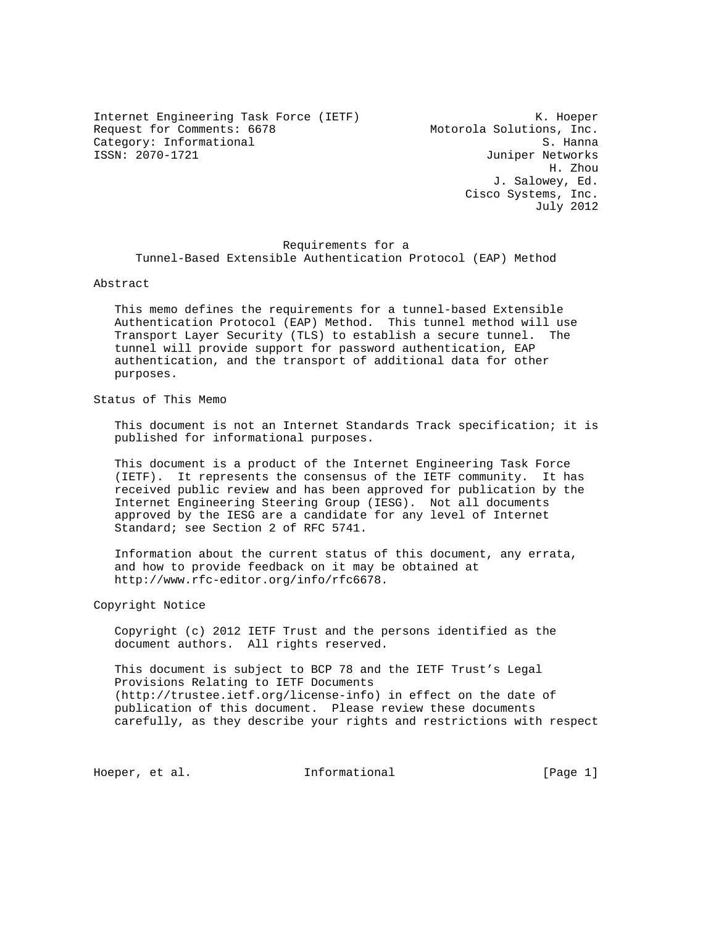Internet Engineering Task Force (IETF) The Contract Communist Contract Communist Communist Communist Communist Communist Communist Communist Communist Communist Communist Communist Communist Communist Communist Communist C Request for Comments: 6678 Motorola Solutions, Inc. Category: Informational S. Hanna

Juniper Networks H. Zhou J. Salowey, Ed. Cisco Systems, Inc. July 2012

# Requirements for a Tunnel-Based Extensible Authentication Protocol (EAP) Method

#### Abstract

 This memo defines the requirements for a tunnel-based Extensible Authentication Protocol (EAP) Method. This tunnel method will use Transport Layer Security (TLS) to establish a secure tunnel. The tunnel will provide support for password authentication, EAP authentication, and the transport of additional data for other purposes.

# Status of This Memo

 This document is not an Internet Standards Track specification; it is published for informational purposes.

 This document is a product of the Internet Engineering Task Force (IETF). It represents the consensus of the IETF community. It has received public review and has been approved for publication by the Internet Engineering Steering Group (IESG). Not all documents approved by the IESG are a candidate for any level of Internet Standard; see Section 2 of RFC 5741.

 Information about the current status of this document, any errata, and how to provide feedback on it may be obtained at http://www.rfc-editor.org/info/rfc6678.

Copyright Notice

 Copyright (c) 2012 IETF Trust and the persons identified as the document authors. All rights reserved.

 This document is subject to BCP 78 and the IETF Trust's Legal Provisions Relating to IETF Documents (http://trustee.ietf.org/license-info) in effect on the date of publication of this document. Please review these documents carefully, as they describe your rights and restrictions with respect

Hoeper, et al. Informational [Page 1]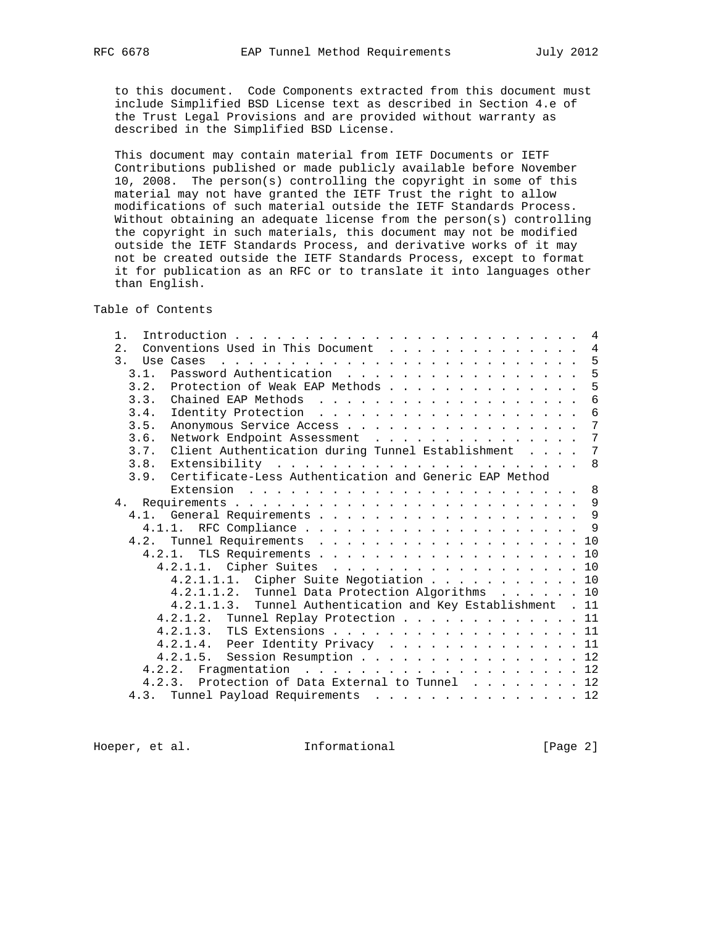to this document. Code Components extracted from this document must include Simplified BSD License text as described in Section 4.e of the Trust Legal Provisions and are provided without warranty as described in the Simplified BSD License.

 This document may contain material from IETF Documents or IETF Contributions published or made publicly available before November 10, 2008. The person(s) controlling the copyright in some of this material may not have granted the IETF Trust the right to allow modifications of such material outside the IETF Standards Process. Without obtaining an adequate license from the person(s) controlling the copyright in such materials, this document may not be modified outside the IETF Standards Process, and derivative works of it may not be created outside the IETF Standards Process, except to format it for publication as an RFC or to translate it into languages other than English.

Table of Contents

| 1.            |                                                                | 4              |
|---------------|----------------------------------------------------------------|----------------|
| 2.            | Conventions Used in This Document                              | $\overline{4}$ |
| $\mathcal{E}$ | Use Cases                                                      | - 5            |
| 3.1.          | Password Authentication                                        | 5              |
| 3.2.          | Protection of Weak EAP Methods 5                               |                |
| 3.3.          |                                                                | $\overline{6}$ |
| 3.4.          |                                                                | 6              |
| 3.5.          | Anonymous Service Access                                       | 7              |
| 3.6.          | Network Endpoint Assessment                                    | $\overline{7}$ |
| 3.7.          | Client Authentication during Tunnel Establishment              | 7              |
| 3.8.          |                                                                |                |
|               | 3.9. Certificate-Less Authentication and Generic EAP Method    |                |
|               | Extension                                                      |                |
| 4.            |                                                                |                |
|               | 4.1. General Requirements 9                                    |                |
|               |                                                                |                |
| 4.2.          | Tunnel Requirements 10                                         |                |
|               | 4.2.1. TLS Requirements 10                                     |                |
|               | 4.2.1.1. Cipher Suites 10                                      |                |
|               | Cipher Suite Negotiation 10<br>4.2.1.1.1.                      |                |
|               | Tunnel Data Protection Algorithms 10<br>4.2.1.1.2.             |                |
|               | Tunnel Authentication and Key Establishment . 11<br>4.2.1.1.3. |                |
|               | 4.2.1.2. Tunnel Replay Protection 11                           |                |
|               | 4.2.1.3. TLS Extensions 11                                     |                |
|               | 4.2.1.4. Peer Identity Privacy 11                              |                |
|               | 4.2.1.5. Session Resumption 12                                 |                |
|               | 4.2.2.                                                         |                |
|               | 4.2.3. Protection of Data External to Tunnel 12                |                |
|               | 4.3. Tunnel Payload Requirements 12                            |                |

Hoeper, et al. 1nformational 1999 [Page 2]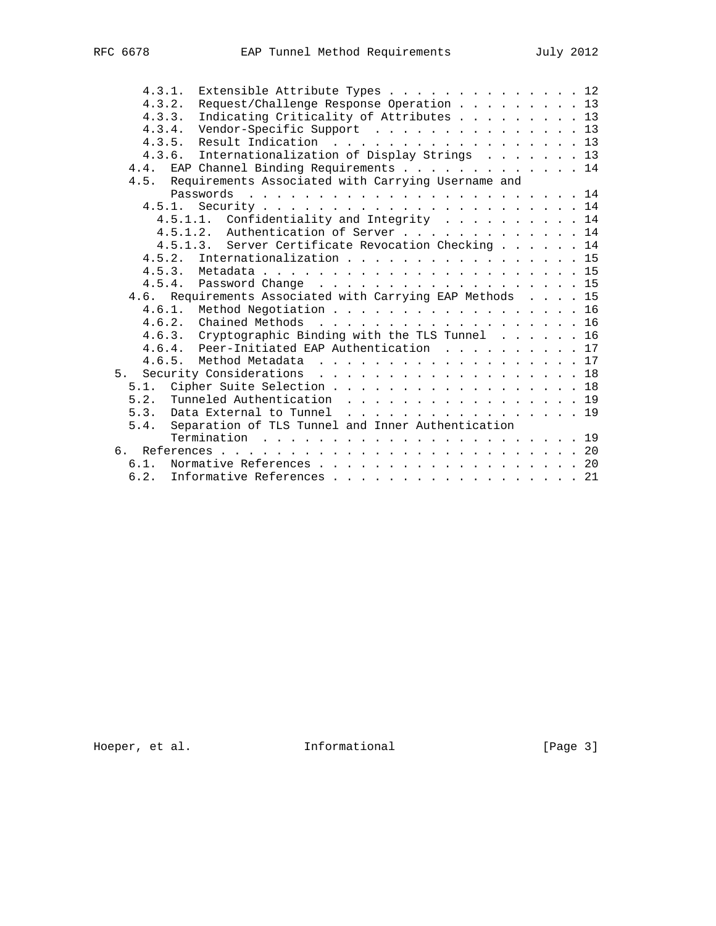| 4.3.1.<br>Extensible Attribute Types 12                   |  |  |  |
|-----------------------------------------------------------|--|--|--|
| Request/Challenge Response Operation 13<br>4.3.2.         |  |  |  |
| Indicating Criticality of Attributes 13<br>4.3.3.         |  |  |  |
| Vendor-Specific Support 13<br>4.3.4.                      |  |  |  |
| Result Indication 13<br>4.3.5.                            |  |  |  |
| Internationalization of Display Strings 13<br>4, 3, 6,    |  |  |  |
| EAP Channel Binding Requirements 14<br>4.4.               |  |  |  |
| 4.5. Requirements Associated with Carrying Username and   |  |  |  |
|                                                           |  |  |  |
| 4.5.1.                                                    |  |  |  |
| 4.5.1.1. Confidentiality and Integrity 14                 |  |  |  |
| 4.5.1.2. Authentication of Server 14                      |  |  |  |
| 4.5.1.3. Server Certificate Revocation Checking 14        |  |  |  |
| Internationalization 15<br>4.5.2.                         |  |  |  |
|                                                           |  |  |  |
| 4.5.4. Password Change 15                                 |  |  |  |
| 4.6. Requirements Associated with Carrying EAP Methods 15 |  |  |  |
| 4.6.1. Method Negotiation 16                              |  |  |  |
| 4.6.2.<br>Chained Methods 16                              |  |  |  |
| 4.6.3. Cryptographic Binding with the TLS Tunnel 16       |  |  |  |
| 4.6.4. Peer-Initiated EAP Authentication 17               |  |  |  |
|                                                           |  |  |  |
| Security Considerations 18<br>5.                          |  |  |  |
| Cipher Suite Selection 18<br>5.1.                         |  |  |  |
| Tunneled Authentication 19<br>5.2.                        |  |  |  |
| 5.3.                                                      |  |  |  |
| Data External to Tunnel 19                                |  |  |  |
| Separation of TLS Tunnel and Inner Authentication<br>5.4. |  |  |  |
|                                                           |  |  |  |
| რ.                                                        |  |  |  |
| Normative References 20<br>$6.1$ .                        |  |  |  |
| 6.2.<br>Informative References 21                         |  |  |  |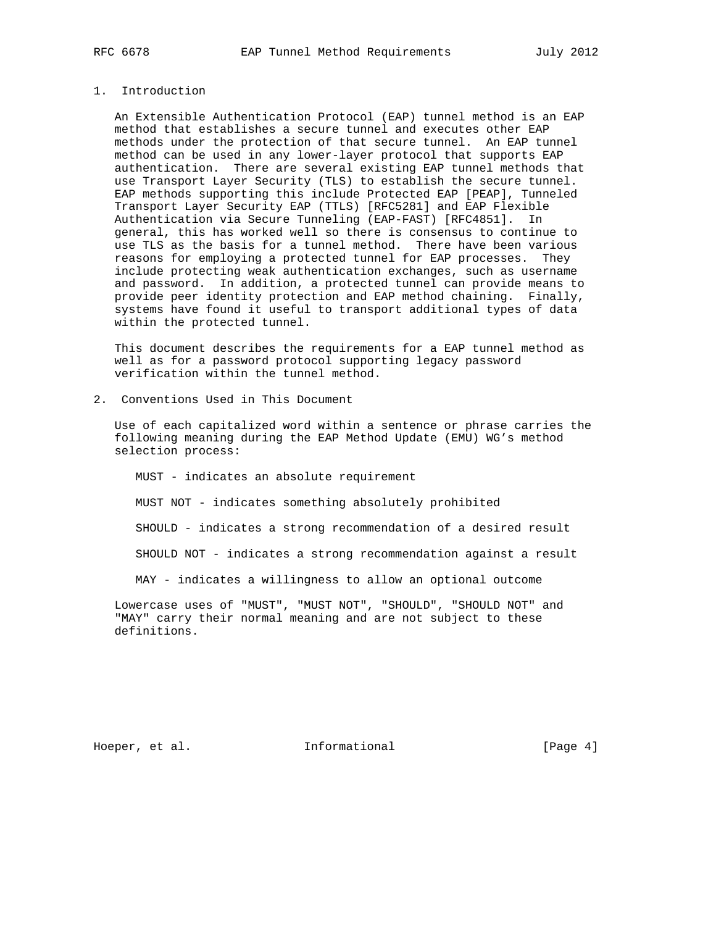# 1. Introduction

 An Extensible Authentication Protocol (EAP) tunnel method is an EAP method that establishes a secure tunnel and executes other EAP methods under the protection of that secure tunnel. An EAP tunnel method can be used in any lower-layer protocol that supports EAP authentication. There are several existing EAP tunnel methods that use Transport Layer Security (TLS) to establish the secure tunnel. EAP methods supporting this include Protected EAP [PEAP], Tunneled Transport Layer Security EAP (TTLS) [RFC5281] and EAP Flexible Authentication via Secure Tunneling (EAP-FAST) [RFC4851]. In general, this has worked well so there is consensus to continue to use TLS as the basis for a tunnel method. There have been various reasons for employing a protected tunnel for EAP processes. They include protecting weak authentication exchanges, such as username and password. In addition, a protected tunnel can provide means to provide peer identity protection and EAP method chaining. Finally, systems have found it useful to transport additional types of data within the protected tunnel.

 This document describes the requirements for a EAP tunnel method as well as for a password protocol supporting legacy password verification within the tunnel method.

2. Conventions Used in This Document

 Use of each capitalized word within a sentence or phrase carries the following meaning during the EAP Method Update (EMU) WG's method selection process:

 MUST - indicates an absolute requirement MUST NOT - indicates something absolutely prohibited SHOULD - indicates a strong recommendation of a desired result SHOULD NOT - indicates a strong recommendation against a result MAY - indicates a willingness to allow an optional outcome

 Lowercase uses of "MUST", "MUST NOT", "SHOULD", "SHOULD NOT" and "MAY" carry their normal meaning and are not subject to these definitions.

Hoeper, et al. 1nformational 1999 [Page 4]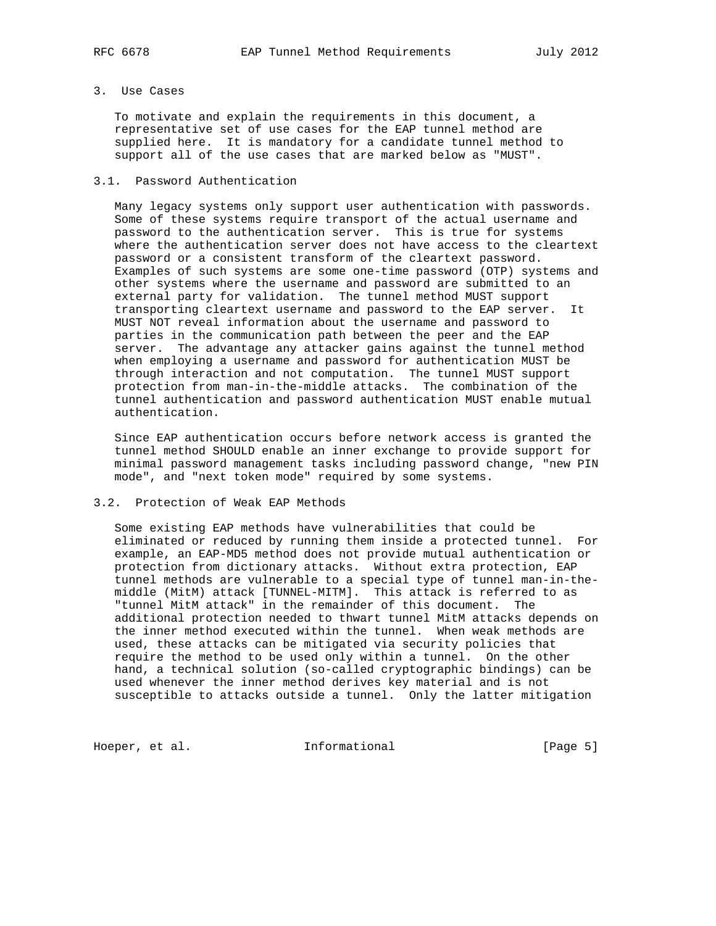# 3. Use Cases

 To motivate and explain the requirements in this document, a representative set of use cases for the EAP tunnel method are supplied here. It is mandatory for a candidate tunnel method to support all of the use cases that are marked below as "MUST".

# 3.1. Password Authentication

 Many legacy systems only support user authentication with passwords. Some of these systems require transport of the actual username and password to the authentication server. This is true for systems where the authentication server does not have access to the cleartext password or a consistent transform of the cleartext password. Examples of such systems are some one-time password (OTP) systems and other systems where the username and password are submitted to an external party for validation. The tunnel method MUST support transporting cleartext username and password to the EAP server. It MUST NOT reveal information about the username and password to parties in the communication path between the peer and the EAP server. The advantage any attacker gains against the tunnel method when employing a username and password for authentication MUST be through interaction and not computation. The tunnel MUST support protection from man-in-the-middle attacks. The combination of the tunnel authentication and password authentication MUST enable mutual authentication.

 Since EAP authentication occurs before network access is granted the tunnel method SHOULD enable an inner exchange to provide support for minimal password management tasks including password change, "new PIN mode", and "next token mode" required by some systems.

## 3.2. Protection of Weak EAP Methods

 Some existing EAP methods have vulnerabilities that could be eliminated or reduced by running them inside a protected tunnel. For example, an EAP-MD5 method does not provide mutual authentication or protection from dictionary attacks. Without extra protection, EAP tunnel methods are vulnerable to a special type of tunnel man-in-the middle (MitM) attack [TUNNEL-MITM]. This attack is referred to as "tunnel MitM attack" in the remainder of this document. The additional protection needed to thwart tunnel MitM attacks depends on the inner method executed within the tunnel. When weak methods are used, these attacks can be mitigated via security policies that require the method to be used only within a tunnel. On the other hand, a technical solution (so-called cryptographic bindings) can be used whenever the inner method derives key material and is not susceptible to attacks outside a tunnel. Only the latter mitigation

Hoeper, et al. 1nformational 1999 [Page 5]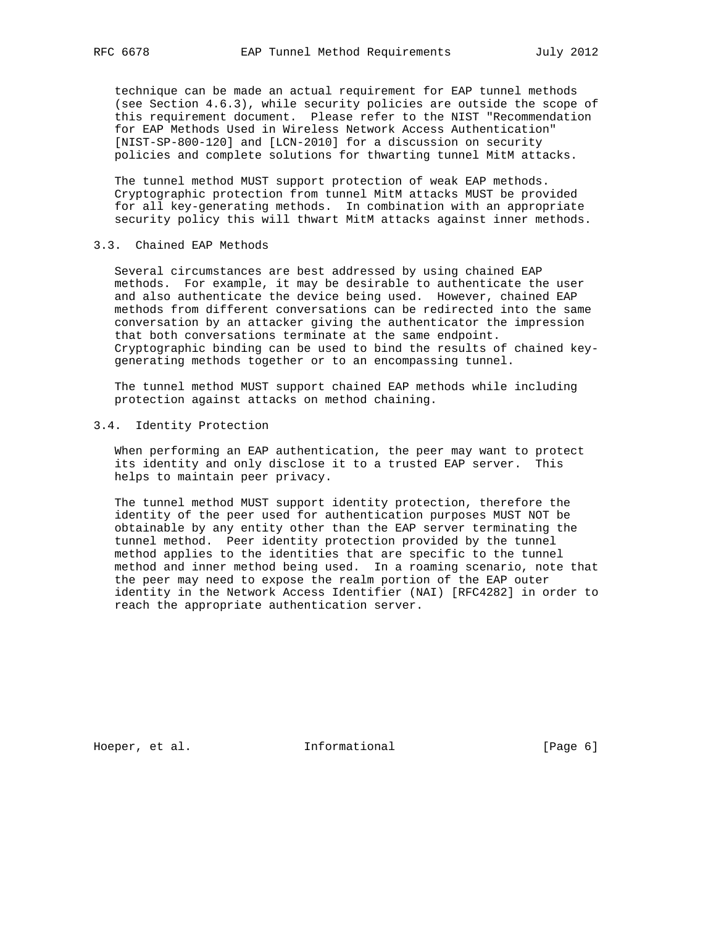technique can be made an actual requirement for EAP tunnel methods (see Section 4.6.3), while security policies are outside the scope of this requirement document. Please refer to the NIST "Recommendation for EAP Methods Used in Wireless Network Access Authentication" [NIST-SP-800-120] and [LCN-2010] for a discussion on security policies and complete solutions for thwarting tunnel MitM attacks.

 The tunnel method MUST support protection of weak EAP methods. Cryptographic protection from tunnel MitM attacks MUST be provided for all key-generating methods. In combination with an appropriate security policy this will thwart MitM attacks against inner methods.

# 3.3. Chained EAP Methods

 Several circumstances are best addressed by using chained EAP methods. For example, it may be desirable to authenticate the user and also authenticate the device being used. However, chained EAP methods from different conversations can be redirected into the same conversation by an attacker giving the authenticator the impression that both conversations terminate at the same endpoint. Cryptographic binding can be used to bind the results of chained key generating methods together or to an encompassing tunnel.

 The tunnel method MUST support chained EAP methods while including protection against attacks on method chaining.

# 3.4. Identity Protection

 When performing an EAP authentication, the peer may want to protect its identity and only disclose it to a trusted EAP server. This helps to maintain peer privacy.

 The tunnel method MUST support identity protection, therefore the identity of the peer used for authentication purposes MUST NOT be obtainable by any entity other than the EAP server terminating the tunnel method. Peer identity protection provided by the tunnel method applies to the identities that are specific to the tunnel method and inner method being used. In a roaming scenario, note that the peer may need to expose the realm portion of the EAP outer identity in the Network Access Identifier (NAI) [RFC4282] in order to reach the appropriate authentication server.

Hoeper, et al. 1nformational 1999 [Page 6]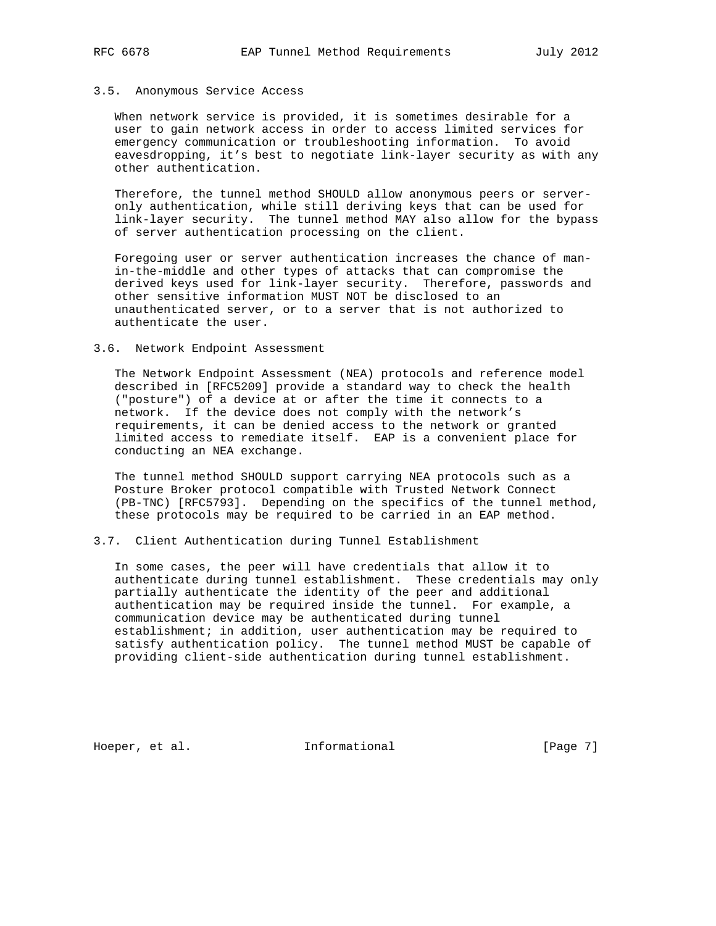## 3.5. Anonymous Service Access

 When network service is provided, it is sometimes desirable for a user to gain network access in order to access limited services for emergency communication or troubleshooting information. To avoid eavesdropping, it's best to negotiate link-layer security as with any other authentication.

 Therefore, the tunnel method SHOULD allow anonymous peers or server only authentication, while still deriving keys that can be used for link-layer security. The tunnel method MAY also allow for the bypass of server authentication processing on the client.

 Foregoing user or server authentication increases the chance of man in-the-middle and other types of attacks that can compromise the derived keys used for link-layer security. Therefore, passwords and other sensitive information MUST NOT be disclosed to an unauthenticated server, or to a server that is not authorized to authenticate the user.

#### 3.6. Network Endpoint Assessment

 The Network Endpoint Assessment (NEA) protocols and reference model described in [RFC5209] provide a standard way to check the health ("posture") of a device at or after the time it connects to a network. If the device does not comply with the network's requirements, it can be denied access to the network or granted limited access to remediate itself. EAP is a convenient place for conducting an NEA exchange.

 The tunnel method SHOULD support carrying NEA protocols such as a Posture Broker protocol compatible with Trusted Network Connect (PB-TNC) [RFC5793]. Depending on the specifics of the tunnel method, these protocols may be required to be carried in an EAP method.

# 3.7. Client Authentication during Tunnel Establishment

 In some cases, the peer will have credentials that allow it to authenticate during tunnel establishment. These credentials may only partially authenticate the identity of the peer and additional authentication may be required inside the tunnel. For example, a communication device may be authenticated during tunnel establishment; in addition, user authentication may be required to satisfy authentication policy. The tunnel method MUST be capable of providing client-side authentication during tunnel establishment.

Hoeper, et al. 1nformational 1999 [Page 7]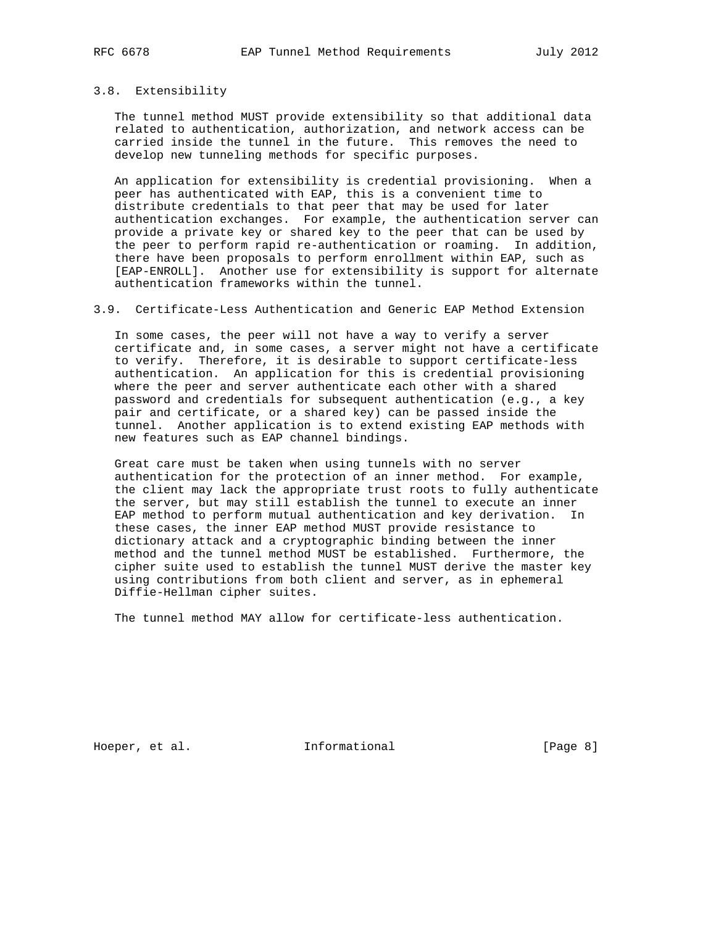# 3.8. Extensibility

 The tunnel method MUST provide extensibility so that additional data related to authentication, authorization, and network access can be carried inside the tunnel in the future. This removes the need to develop new tunneling methods for specific purposes.

 An application for extensibility is credential provisioning. When a peer has authenticated with EAP, this is a convenient time to distribute credentials to that peer that may be used for later authentication exchanges. For example, the authentication server can provide a private key or shared key to the peer that can be used by the peer to perform rapid re-authentication or roaming. In addition, there have been proposals to perform enrollment within EAP, such as [EAP-ENROLL]. Another use for extensibility is support for alternate authentication frameworks within the tunnel.

## 3.9. Certificate-Less Authentication and Generic EAP Method Extension

 In some cases, the peer will not have a way to verify a server certificate and, in some cases, a server might not have a certificate to verify. Therefore, it is desirable to support certificate-less authentication. An application for this is credential provisioning where the peer and server authenticate each other with a shared password and credentials for subsequent authentication (e.g., a key pair and certificate, or a shared key) can be passed inside the tunnel. Another application is to extend existing EAP methods with new features such as EAP channel bindings.

 Great care must be taken when using tunnels with no server authentication for the protection of an inner method. For example, the client may lack the appropriate trust roots to fully authenticate the server, but may still establish the tunnel to execute an inner EAP method to perform mutual authentication and key derivation. In these cases, the inner EAP method MUST provide resistance to dictionary attack and a cryptographic binding between the inner method and the tunnel method MUST be established. Furthermore, the cipher suite used to establish the tunnel MUST derive the master key using contributions from both client and server, as in ephemeral Diffie-Hellman cipher suites.

The tunnel method MAY allow for certificate-less authentication.

Hoeper, et al. 1nformational 1999 [Page 8]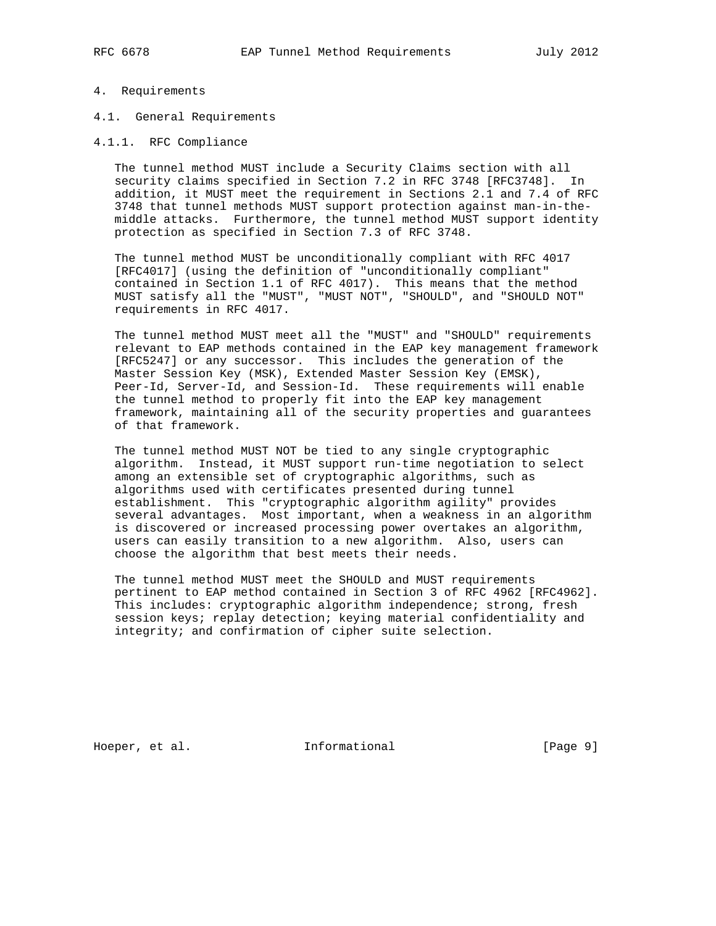# 4. Requirements

- 4.1. General Requirements
- 4.1.1. RFC Compliance

 The tunnel method MUST include a Security Claims section with all security claims specified in Section 7.2 in RFC 3748 [RFC3748]. In addition, it MUST meet the requirement in Sections 2.1 and 7.4 of RFC 3748 that tunnel methods MUST support protection against man-in-the middle attacks. Furthermore, the tunnel method MUST support identity protection as specified in Section 7.3 of RFC 3748.

 The tunnel method MUST be unconditionally compliant with RFC 4017 [RFC4017] (using the definition of "unconditionally compliant" contained in Section 1.1 of RFC 4017). This means that the method MUST satisfy all the "MUST", "MUST NOT", "SHOULD", and "SHOULD NOT" requirements in RFC 4017.

The tunnel method MUST meet all the "MUST" and "SHOULD" requirements relevant to EAP methods contained in the EAP key management framework [RFC5247] or any successor. This includes the generation of the Master Session Key (MSK), Extended Master Session Key (EMSK), Peer-Id, Server-Id, and Session-Id. These requirements will enable the tunnel method to properly fit into the EAP key management framework, maintaining all of the security properties and guarantees of that framework.

 The tunnel method MUST NOT be tied to any single cryptographic algorithm. Instead, it MUST support run-time negotiation to select among an extensible set of cryptographic algorithms, such as algorithms used with certificates presented during tunnel establishment. This "cryptographic algorithm agility" provides several advantages. Most important, when a weakness in an algorithm is discovered or increased processing power overtakes an algorithm, users can easily transition to a new algorithm. Also, users can choose the algorithm that best meets their needs.

 The tunnel method MUST meet the SHOULD and MUST requirements pertinent to EAP method contained in Section 3 of RFC 4962 [RFC4962]. This includes: cryptographic algorithm independence; strong, fresh session keys; replay detection; keying material confidentiality and integrity; and confirmation of cipher suite selection.

Hoeper, et al. 1nformational 1999 [Page 9]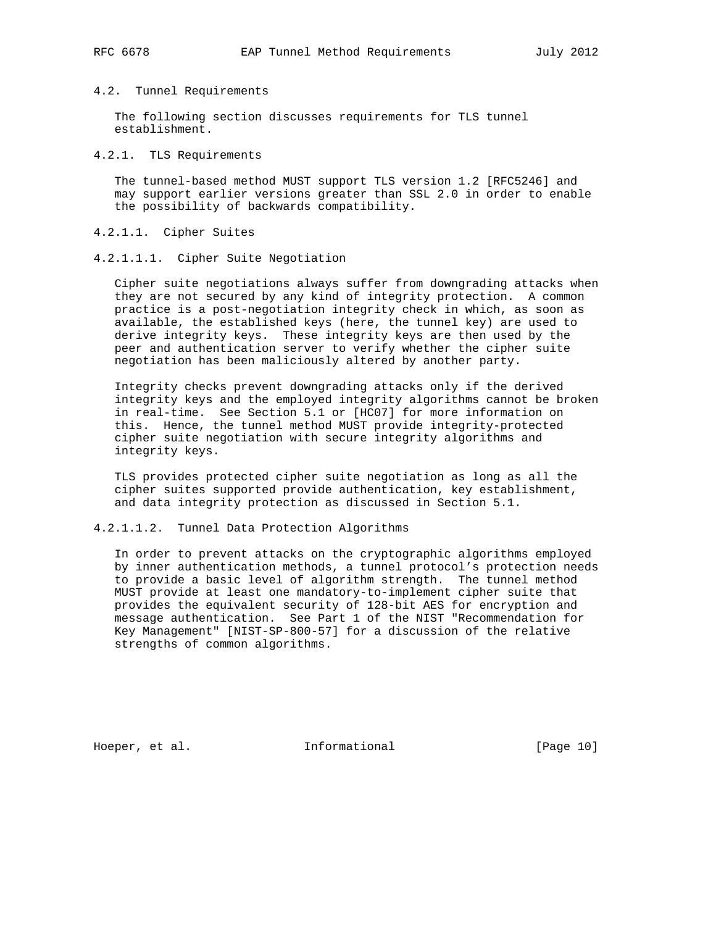## 4.2. Tunnel Requirements

 The following section discusses requirements for TLS tunnel establishment.

#### 4.2.1. TLS Requirements

 The tunnel-based method MUST support TLS version 1.2 [RFC5246] and may support earlier versions greater than SSL 2.0 in order to enable the possibility of backwards compatibility.

# 4.2.1.1. Cipher Suites

4.2.1.1.1. Cipher Suite Negotiation

 Cipher suite negotiations always suffer from downgrading attacks when they are not secured by any kind of integrity protection. A common practice is a post-negotiation integrity check in which, as soon as available, the established keys (here, the tunnel key) are used to derive integrity keys. These integrity keys are then used by the peer and authentication server to verify whether the cipher suite negotiation has been maliciously altered by another party.

 Integrity checks prevent downgrading attacks only if the derived integrity keys and the employed integrity algorithms cannot be broken in real-time. See Section 5.1 or [HC07] for more information on this. Hence, the tunnel method MUST provide integrity-protected cipher suite negotiation with secure integrity algorithms and integrity keys.

 TLS provides protected cipher suite negotiation as long as all the cipher suites supported provide authentication, key establishment, and data integrity protection as discussed in Section 5.1.

### 4.2.1.1.2. Tunnel Data Protection Algorithms

 In order to prevent attacks on the cryptographic algorithms employed by inner authentication methods, a tunnel protocol's protection needs to provide a basic level of algorithm strength. The tunnel method MUST provide at least one mandatory-to-implement cipher suite that provides the equivalent security of 128-bit AES for encryption and message authentication. See Part 1 of the NIST "Recommendation for Key Management" [NIST-SP-800-57] for a discussion of the relative strengths of common algorithms.

Hoeper, et al. 1000 and 111 Informational [Page 10]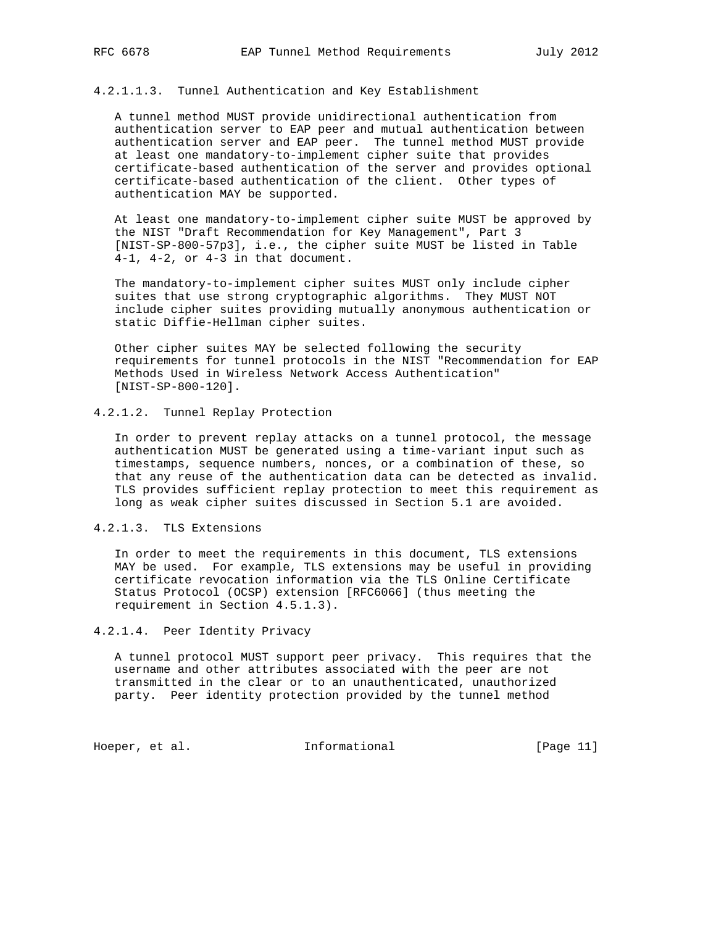# 4.2.1.1.3. Tunnel Authentication and Key Establishment

 A tunnel method MUST provide unidirectional authentication from authentication server to EAP peer and mutual authentication between authentication server and EAP peer. The tunnel method MUST provide at least one mandatory-to-implement cipher suite that provides certificate-based authentication of the server and provides optional certificate-based authentication of the client. Other types of authentication MAY be supported.

 At least one mandatory-to-implement cipher suite MUST be approved by the NIST "Draft Recommendation for Key Management", Part 3 [NIST-SP-800-57p3], i.e., the cipher suite MUST be listed in Table 4-1, 4-2, or 4-3 in that document.

 The mandatory-to-implement cipher suites MUST only include cipher suites that use strong cryptographic algorithms. They MUST NOT include cipher suites providing mutually anonymous authentication or static Diffie-Hellman cipher suites.

 Other cipher suites MAY be selected following the security requirements for tunnel protocols in the NIST "Recommendation for EAP Methods Used in Wireless Network Access Authentication" [NIST-SP-800-120].

# 4.2.1.2. Tunnel Replay Protection

 In order to prevent replay attacks on a tunnel protocol, the message authentication MUST be generated using a time-variant input such as timestamps, sequence numbers, nonces, or a combination of these, so that any reuse of the authentication data can be detected as invalid. TLS provides sufficient replay protection to meet this requirement as long as weak cipher suites discussed in Section 5.1 are avoided.

4.2.1.3. TLS Extensions

 In order to meet the requirements in this document, TLS extensions MAY be used. For example, TLS extensions may be useful in providing certificate revocation information via the TLS Online Certificate Status Protocol (OCSP) extension [RFC6066] (thus meeting the requirement in Section 4.5.1.3).

#### 4.2.1.4. Peer Identity Privacy

 A tunnel protocol MUST support peer privacy. This requires that the username and other attributes associated with the peer are not transmitted in the clear or to an unauthenticated, unauthorized party. Peer identity protection provided by the tunnel method

Hoeper, et al. 1000 and 111 Informational 1000 and 1000 and 111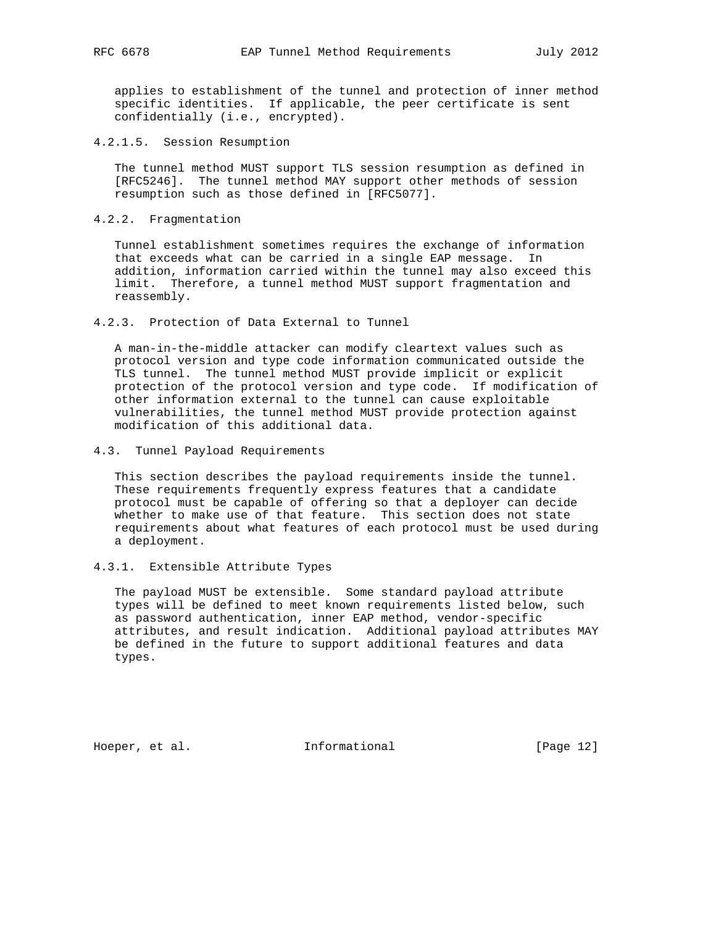applies to establishment of the tunnel and protection of inner method specific identities. If applicable, the peer certificate is sent confidentially (i.e., encrypted).

4.2.1.5. Session Resumption

 The tunnel method MUST support TLS session resumption as defined in [RFC5246]. The tunnel method MAY support other methods of session resumption such as those defined in [RFC5077].

4.2.2. Fragmentation

 Tunnel establishment sometimes requires the exchange of information that exceeds what can be carried in a single EAP message. In addition, information carried within the tunnel may also exceed this limit. Therefore, a tunnel method MUST support fragmentation and reassembly.

4.2.3. Protection of Data External to Tunnel

 A man-in-the-middle attacker can modify cleartext values such as protocol version and type code information communicated outside the TLS tunnel. The tunnel method MUST provide implicit or explicit protection of the protocol version and type code. If modification of other information external to the tunnel can cause exploitable vulnerabilities, the tunnel method MUST provide protection against modification of this additional data.

4.3. Tunnel Payload Requirements

 This section describes the payload requirements inside the tunnel. These requirements frequently express features that a candidate protocol must be capable of offering so that a deployer can decide whether to make use of that feature. This section does not state requirements about what features of each protocol must be used during a deployment.

4.3.1. Extensible Attribute Types

 The payload MUST be extensible. Some standard payload attribute types will be defined to meet known requirements listed below, such as password authentication, inner EAP method, vendor-specific attributes, and result indication. Additional payload attributes MAY be defined in the future to support additional features and data types.

Hoeper, et al. 1000 Informational [Page 12]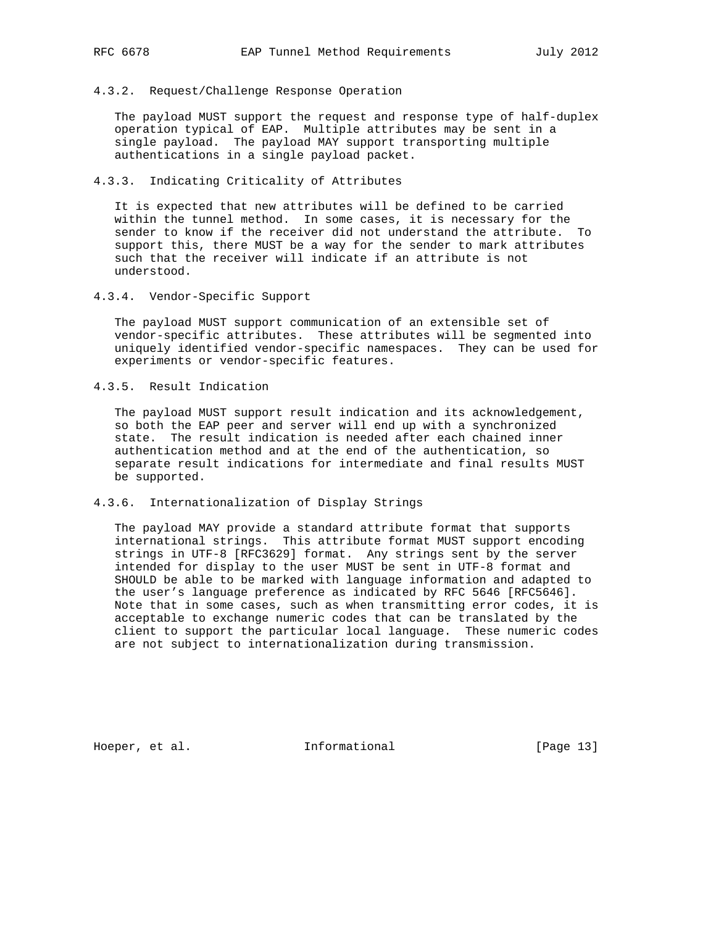# 4.3.2. Request/Challenge Response Operation

 The payload MUST support the request and response type of half-duplex operation typical of EAP. Multiple attributes may be sent in a single payload. The payload MAY support transporting multiple authentications in a single payload packet.

# 4.3.3. Indicating Criticality of Attributes

 It is expected that new attributes will be defined to be carried within the tunnel method. In some cases, it is necessary for the sender to know if the receiver did not understand the attribute. To support this, there MUST be a way for the sender to mark attributes such that the receiver will indicate if an attribute is not understood.

4.3.4. Vendor-Specific Support

 The payload MUST support communication of an extensible set of vendor-specific attributes. These attributes will be segmented into uniquely identified vendor-specific namespaces. They can be used for experiments or vendor-specific features.

4.3.5. Result Indication

 The payload MUST support result indication and its acknowledgement, so both the EAP peer and server will end up with a synchronized state. The result indication is needed after each chained inner authentication method and at the end of the authentication, so separate result indications for intermediate and final results MUST be supported.

## 4.3.6. Internationalization of Display Strings

 The payload MAY provide a standard attribute format that supports international strings. This attribute format MUST support encoding strings in UTF-8 [RFC3629] format. Any strings sent by the server intended for display to the user MUST be sent in UTF-8 format and SHOULD be able to be marked with language information and adapted to the user's language preference as indicated by RFC 5646 [RFC5646]. Note that in some cases, such as when transmitting error codes, it is acceptable to exchange numeric codes that can be translated by the client to support the particular local language. These numeric codes are not subject to internationalization during transmission.

Hoeper, et al. 1000 Informational [Page 13]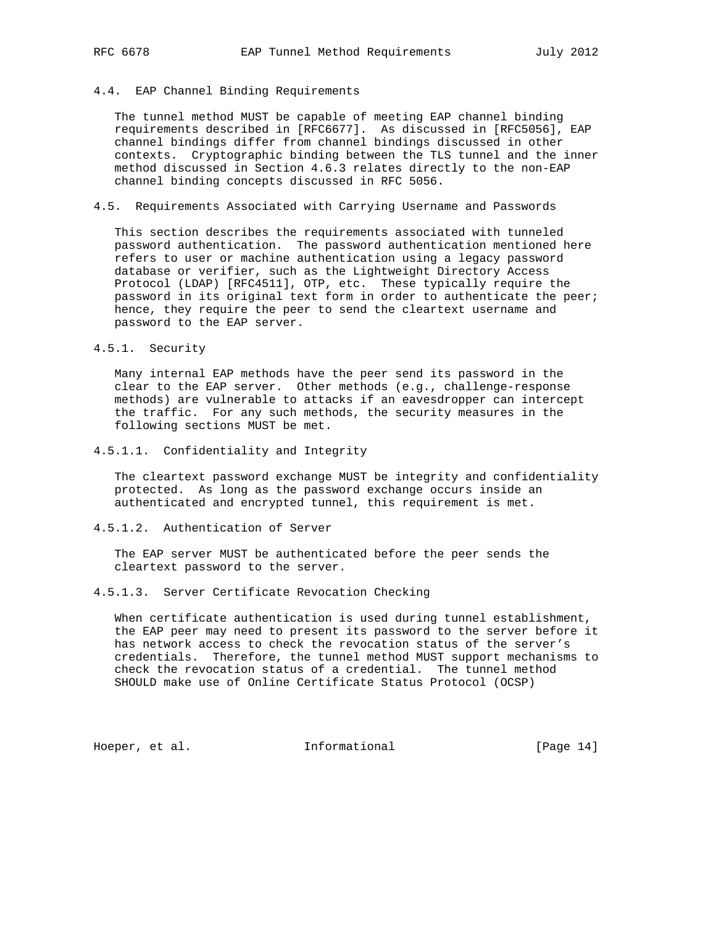# 4.4. EAP Channel Binding Requirements

 The tunnel method MUST be capable of meeting EAP channel binding requirements described in [RFC6677]. As discussed in [RFC5056], EAP channel bindings differ from channel bindings discussed in other contexts. Cryptographic binding between the TLS tunnel and the inner method discussed in Section 4.6.3 relates directly to the non-EAP channel binding concepts discussed in RFC 5056.

# 4.5. Requirements Associated with Carrying Username and Passwords

 This section describes the requirements associated with tunneled password authentication. The password authentication mentioned here refers to user or machine authentication using a legacy password database or verifier, such as the Lightweight Directory Access Protocol (LDAP) [RFC4511], OTP, etc. These typically require the password in its original text form in order to authenticate the peer; hence, they require the peer to send the cleartext username and password to the EAP server.

#### 4.5.1. Security

 Many internal EAP methods have the peer send its password in the clear to the EAP server. Other methods (e.g., challenge-response methods) are vulnerable to attacks if an eavesdropper can intercept the traffic. For any such methods, the security measures in the following sections MUST be met.

## 4.5.1.1. Confidentiality and Integrity

 The cleartext password exchange MUST be integrity and confidentiality protected. As long as the password exchange occurs inside an authenticated and encrypted tunnel, this requirement is met.

### 4.5.1.2. Authentication of Server

 The EAP server MUST be authenticated before the peer sends the cleartext password to the server.

# 4.5.1.3. Server Certificate Revocation Checking

 When certificate authentication is used during tunnel establishment, the EAP peer may need to present its password to the server before it has network access to check the revocation status of the server's credentials. Therefore, the tunnel method MUST support mechanisms to check the revocation status of a credential. The tunnel method SHOULD make use of Online Certificate Status Protocol (OCSP)

Hoeper, et al. 1000 and 111 Informational 1000 and 14]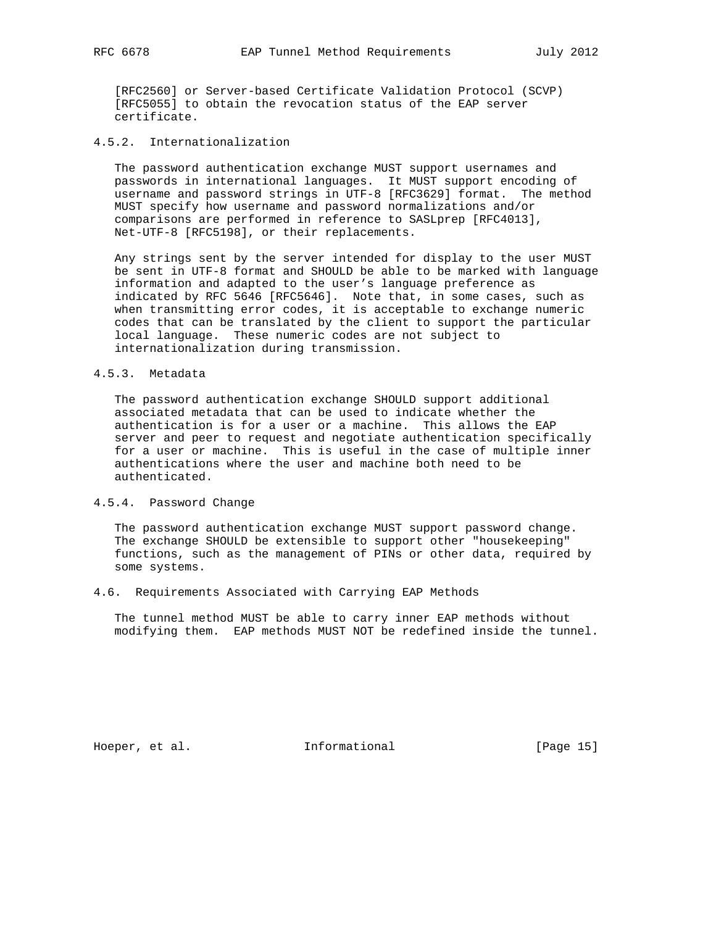[RFC2560] or Server-based Certificate Validation Protocol (SCVP) [RFC5055] to obtain the revocation status of the EAP server certificate.

# 4.5.2. Internationalization

 The password authentication exchange MUST support usernames and passwords in international languages. It MUST support encoding of username and password strings in UTF-8 [RFC3629] format. The method MUST specify how username and password normalizations and/or comparisons are performed in reference to SASLprep [RFC4013], Net-UTF-8 [RFC5198], or their replacements.

 Any strings sent by the server intended for display to the user MUST be sent in UTF-8 format and SHOULD be able to be marked with language information and adapted to the user's language preference as indicated by RFC 5646 [RFC5646]. Note that, in some cases, such as when transmitting error codes, it is acceptable to exchange numeric codes that can be translated by the client to support the particular local language. These numeric codes are not subject to internationalization during transmission.

# 4.5.3. Metadata

 The password authentication exchange SHOULD support additional associated metadata that can be used to indicate whether the authentication is for a user or a machine. This allows the EAP server and peer to request and negotiate authentication specifically for a user or machine. This is useful in the case of multiple inner authentications where the user and machine both need to be authenticated.

#### 4.5.4. Password Change

 The password authentication exchange MUST support password change. The exchange SHOULD be extensible to support other "housekeeping" functions, such as the management of PINs or other data, required by some systems.

## 4.6. Requirements Associated with Carrying EAP Methods

 The tunnel method MUST be able to carry inner EAP methods without modifying them. EAP methods MUST NOT be redefined inside the tunnel.

Hoeper, et al. 1000 and 111 Informational [Page 15]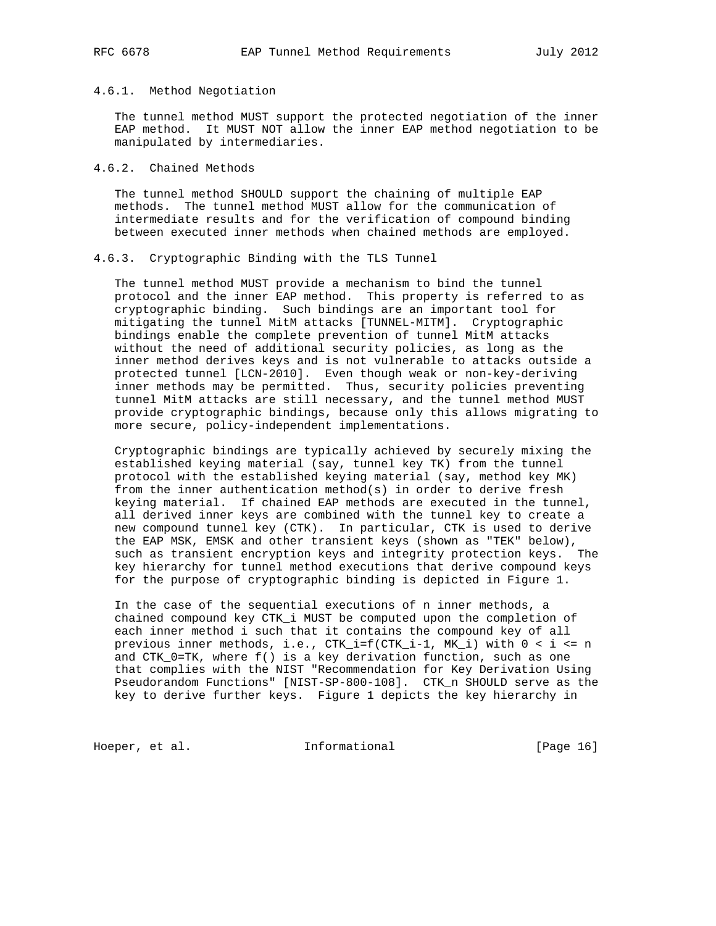# 4.6.1. Method Negotiation

 The tunnel method MUST support the protected negotiation of the inner EAP method. It MUST NOT allow the inner EAP method negotiation to be manipulated by intermediaries.

## 4.6.2. Chained Methods

 The tunnel method SHOULD support the chaining of multiple EAP methods. The tunnel method MUST allow for the communication of intermediate results and for the verification of compound binding between executed inner methods when chained methods are employed.

## 4.6.3. Cryptographic Binding with the TLS Tunnel

 The tunnel method MUST provide a mechanism to bind the tunnel protocol and the inner EAP method. This property is referred to as cryptographic binding. Such bindings are an important tool for mitigating the tunnel MitM attacks [TUNNEL-MITM]. Cryptographic bindings enable the complete prevention of tunnel MitM attacks without the need of additional security policies, as long as the inner method derives keys and is not vulnerable to attacks outside a protected tunnel [LCN-2010]. Even though weak or non-key-deriving inner methods may be permitted. Thus, security policies preventing tunnel MitM attacks are still necessary, and the tunnel method MUST provide cryptographic bindings, because only this allows migrating to more secure, policy-independent implementations.

 Cryptographic bindings are typically achieved by securely mixing the established keying material (say, tunnel key TK) from the tunnel protocol with the established keying material (say, method key MK) from the inner authentication method(s) in order to derive fresh keying material. If chained EAP methods are executed in the tunnel, all derived inner keys are combined with the tunnel key to create a new compound tunnel key (CTK). In particular, CTK is used to derive the EAP MSK, EMSK and other transient keys (shown as "TEK" below), such as transient encryption keys and integrity protection keys. The key hierarchy for tunnel method executions that derive compound keys for the purpose of cryptographic binding is depicted in Figure 1.

 In the case of the sequential executions of n inner methods, a chained compound key CTK\_i MUST be computed upon the completion of each inner method i such that it contains the compound key of all previous inner methods, i.e., CTK\_i=f(CTK\_i-1, MK\_i) with 0 < i <= n and  $CTK_0=TK$ , where  $f()$  is a key derivation function, such as one that complies with the NIST "Recommendation for Key Derivation Using Pseudorandom Functions" [NIST-SP-800-108]. CTK\_n SHOULD serve as the key to derive further keys. Figure 1 depicts the key hierarchy in

Hoeper, et al. 1000 and 111 Informational 1000 and 16 [Page 16]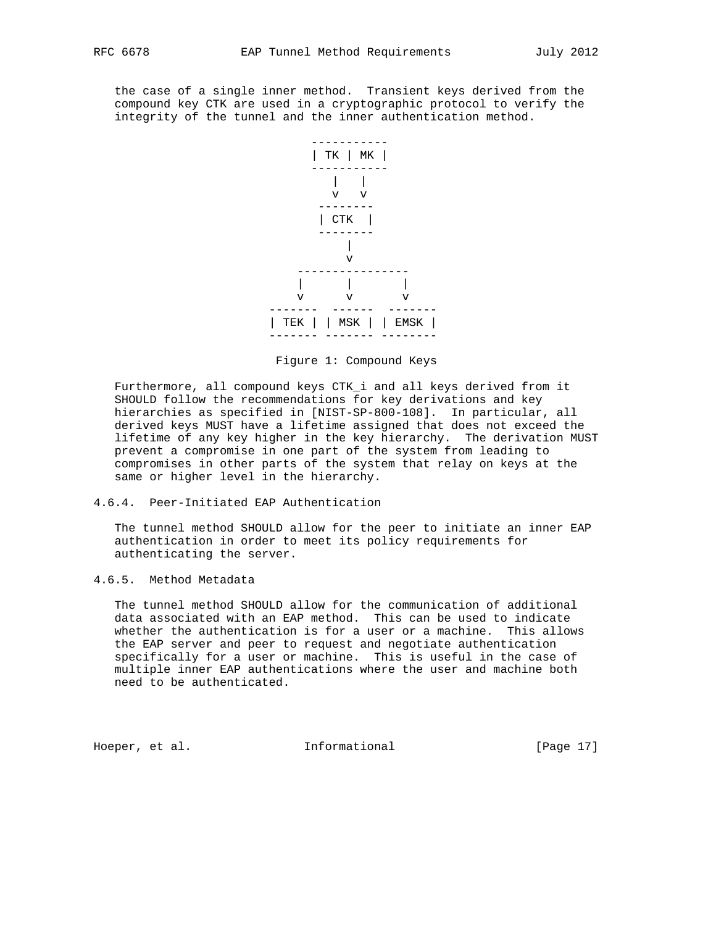the case of a single inner method. Transient keys derived from the compound key CTK are used in a cryptographic protocol to verify the integrity of the tunnel and the inner authentication method.



Figure 1: Compound Keys

 Furthermore, all compound keys CTK\_i and all keys derived from it SHOULD follow the recommendations for key derivations and key hierarchies as specified in [NIST-SP-800-108]. In particular, all derived keys MUST have a lifetime assigned that does not exceed the lifetime of any key higher in the key hierarchy. The derivation MUST prevent a compromise in one part of the system from leading to compromises in other parts of the system that relay on keys at the same or higher level in the hierarchy.

# 4.6.4. Peer-Initiated EAP Authentication

 The tunnel method SHOULD allow for the peer to initiate an inner EAP authentication in order to meet its policy requirements for authenticating the server.

# 4.6.5. Method Metadata

 The tunnel method SHOULD allow for the communication of additional data associated with an EAP method. This can be used to indicate whether the authentication is for a user or a machine. This allows the EAP server and peer to request and negotiate authentication specifically for a user or machine. This is useful in the case of multiple inner EAP authentications where the user and machine both need to be authenticated.

Hoeper, et al. Informational [Page 17]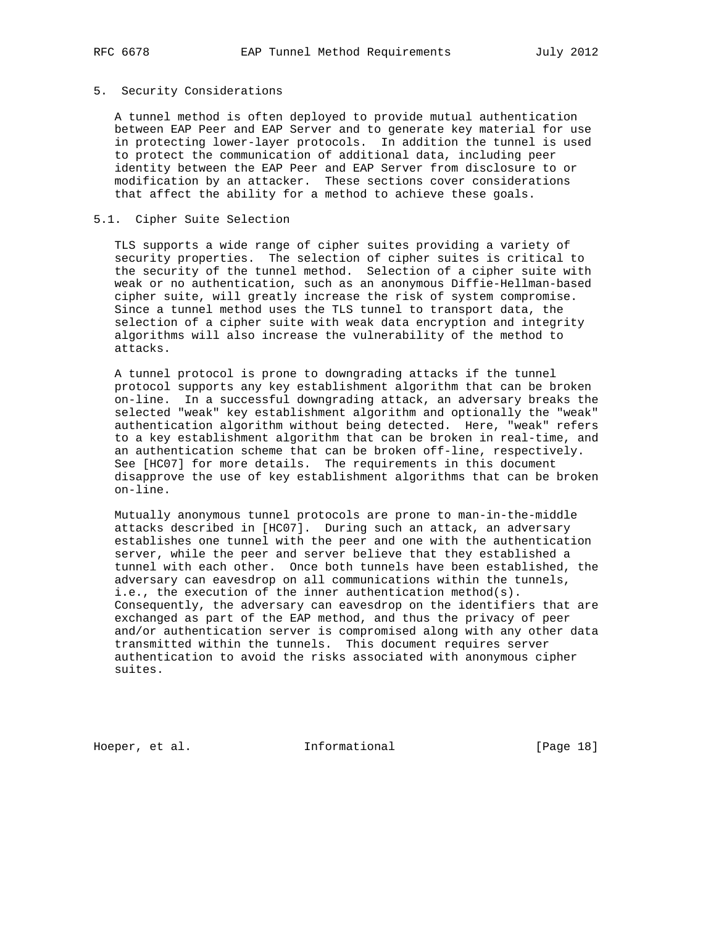### 5. Security Considerations

 A tunnel method is often deployed to provide mutual authentication between EAP Peer and EAP Server and to generate key material for use in protecting lower-layer protocols. In addition the tunnel is used to protect the communication of additional data, including peer identity between the EAP Peer and EAP Server from disclosure to or modification by an attacker. These sections cover considerations that affect the ability for a method to achieve these goals.

## 5.1. Cipher Suite Selection

 TLS supports a wide range of cipher suites providing a variety of security properties. The selection of cipher suites is critical to the security of the tunnel method. Selection of a cipher suite with weak or no authentication, such as an anonymous Diffie-Hellman-based cipher suite, will greatly increase the risk of system compromise. Since a tunnel method uses the TLS tunnel to transport data, the selection of a cipher suite with weak data encryption and integrity algorithms will also increase the vulnerability of the method to attacks.

 A tunnel protocol is prone to downgrading attacks if the tunnel protocol supports any key establishment algorithm that can be broken on-line. In a successful downgrading attack, an adversary breaks the selected "weak" key establishment algorithm and optionally the "weak" authentication algorithm without being detected. Here, "weak" refers to a key establishment algorithm that can be broken in real-time, and an authentication scheme that can be broken off-line, respectively. See [HC07] for more details. The requirements in this document disapprove the use of key establishment algorithms that can be broken on-line.

 Mutually anonymous tunnel protocols are prone to man-in-the-middle attacks described in [HC07]. During such an attack, an adversary establishes one tunnel with the peer and one with the authentication server, while the peer and server believe that they established a tunnel with each other. Once both tunnels have been established, the adversary can eavesdrop on all communications within the tunnels, i.e., the execution of the inner authentication method(s). Consequently, the adversary can eavesdrop on the identifiers that are exchanged as part of the EAP method, and thus the privacy of peer and/or authentication server is compromised along with any other data transmitted within the tunnels. This document requires server authentication to avoid the risks associated with anonymous cipher suites.

Hoeper, et al. 1000 and 111 Informational [Page 18]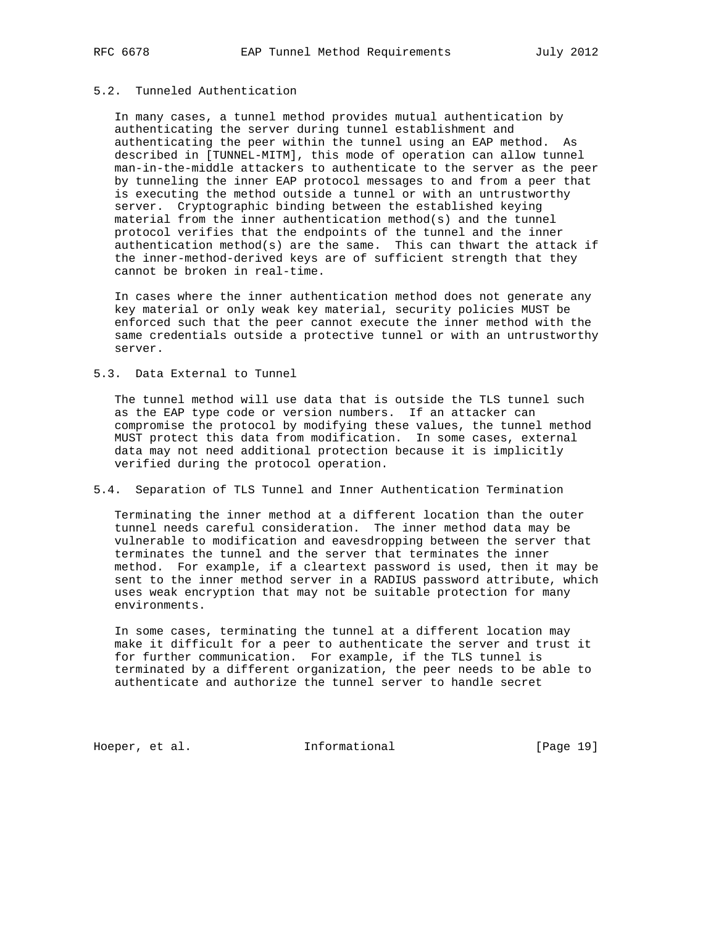# 5.2. Tunneled Authentication

 In many cases, a tunnel method provides mutual authentication by authenticating the server during tunnel establishment and authenticating the peer within the tunnel using an EAP method. As described in [TUNNEL-MITM], this mode of operation can allow tunnel man-in-the-middle attackers to authenticate to the server as the peer by tunneling the inner EAP protocol messages to and from a peer that is executing the method outside a tunnel or with an untrustworthy server. Cryptographic binding between the established keying material from the inner authentication method(s) and the tunnel protocol verifies that the endpoints of the tunnel and the inner authentication method(s) are the same. This can thwart the attack if the inner-method-derived keys are of sufficient strength that they cannot be broken in real-time.

 In cases where the inner authentication method does not generate any key material or only weak key material, security policies MUST be enforced such that the peer cannot execute the inner method with the same credentials outside a protective tunnel or with an untrustworthy server.

## 5.3. Data External to Tunnel

 The tunnel method will use data that is outside the TLS tunnel such as the EAP type code or version numbers. If an attacker can compromise the protocol by modifying these values, the tunnel method MUST protect this data from modification. In some cases, external data may not need additional protection because it is implicitly verified during the protocol operation.

# 5.4. Separation of TLS Tunnel and Inner Authentication Termination

 Terminating the inner method at a different location than the outer tunnel needs careful consideration. The inner method data may be vulnerable to modification and eavesdropping between the server that terminates the tunnel and the server that terminates the inner method. For example, if a cleartext password is used, then it may be sent to the inner method server in a RADIUS password attribute, which uses weak encryption that may not be suitable protection for many environments.

 In some cases, terminating the tunnel at a different location may make it difficult for a peer to authenticate the server and trust it for further communication. For example, if the TLS tunnel is terminated by a different organization, the peer needs to be able to authenticate and authorize the tunnel server to handle secret

Hoeper, et al. 1000 and 111 Informational [Page 19]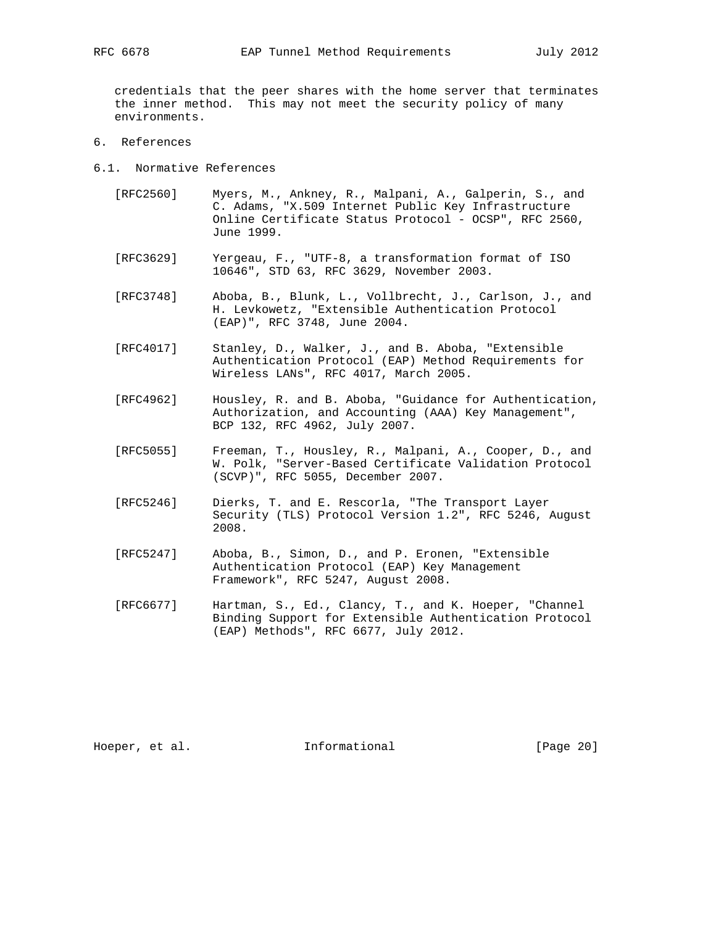credentials that the peer shares with the home server that terminates the inner method. This may not meet the security policy of many environments.

- 6. References
- 6.1. Normative References
	- [RFC2560] Myers, M., Ankney, R., Malpani, A., Galperin, S., and C. Adams, "X.509 Internet Public Key Infrastructure Online Certificate Status Protocol - OCSP", RFC 2560, June 1999.
	- [RFC3629] Yergeau, F., "UTF-8, a transformation format of ISO 10646", STD 63, RFC 3629, November 2003.
	- [RFC3748] Aboba, B., Blunk, L., Vollbrecht, J., Carlson, J., and H. Levkowetz, "Extensible Authentication Protocol (EAP)", RFC 3748, June 2004.
	- [RFC4017] Stanley, D., Walker, J., and B. Aboba, "Extensible Authentication Protocol (EAP) Method Requirements for Wireless LANs", RFC 4017, March 2005.
	- [RFC4962] Housley, R. and B. Aboba, "Guidance for Authentication, Authorization, and Accounting (AAA) Key Management", BCP 132, RFC 4962, July 2007.
	- [RFC5055] Freeman, T., Housley, R., Malpani, A., Cooper, D., and W. Polk, "Server-Based Certificate Validation Protocol (SCVP)", RFC 5055, December 2007.
	- [RFC5246] Dierks, T. and E. Rescorla, "The Transport Layer Security (TLS) Protocol Version 1.2", RFC 5246, August 2008.
	- [RFC5247] Aboba, B., Simon, D., and P. Eronen, "Extensible Authentication Protocol (EAP) Key Management Framework", RFC 5247, August 2008.
	- [RFC6677] Hartman, S., Ed., Clancy, T., and K. Hoeper, "Channel Binding Support for Extensible Authentication Protocol (EAP) Methods", RFC 6677, July 2012.

Hoeper, et al. 1000 and 111 Informational [Page 20]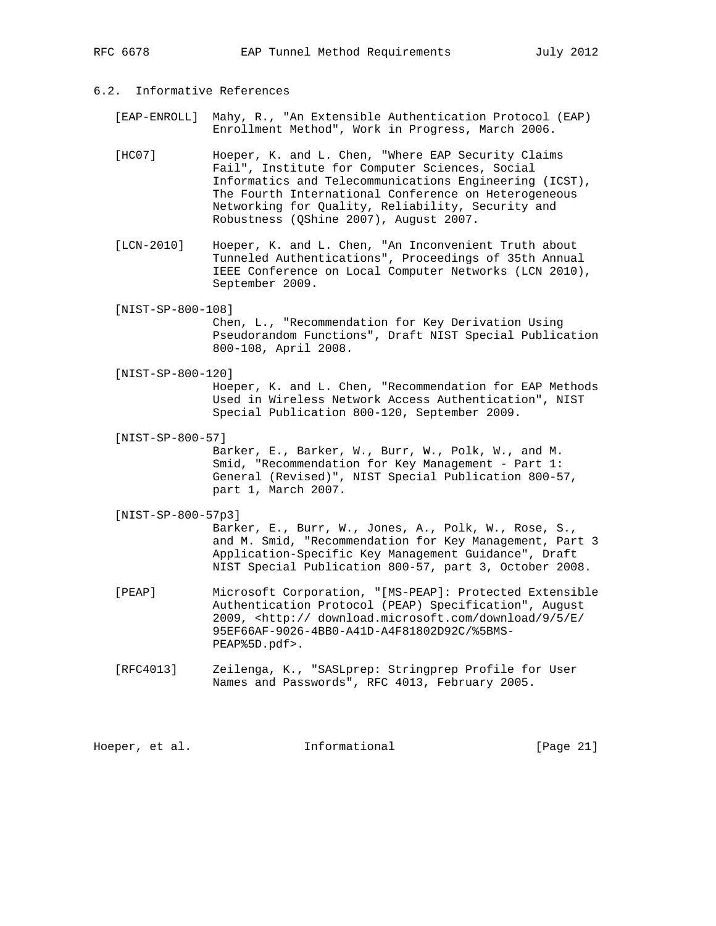# 6.2. Informative References

 [EAP-ENROLL] Mahy, R., "An Extensible Authentication Protocol (EAP) Enrollment Method", Work in Progress, March 2006.

- [HC07] Hoeper, K. and L. Chen, "Where EAP Security Claims Fail", Institute for Computer Sciences, Social Informatics and Telecommunications Engineering (ICST), The Fourth International Conference on Heterogeneous Networking for Quality, Reliability, Security and Robustness (QShine 2007), August 2007.
- [LCN-2010] Hoeper, K. and L. Chen, "An Inconvenient Truth about Tunneled Authentications", Proceedings of 35th Annual IEEE Conference on Local Computer Networks (LCN 2010), September 2009.
- [NIST-SP-800-108]

 Chen, L., "Recommendation for Key Derivation Using Pseudorandom Functions", Draft NIST Special Publication 800-108, April 2008.

[NIST-SP-800-120]

 Hoeper, K. and L. Chen, "Recommendation for EAP Methods Used in Wireless Network Access Authentication", NIST Special Publication 800-120, September 2009.

[NIST-SP-800-57]

 Barker, E., Barker, W., Burr, W., Polk, W., and M. Smid, "Recommendation for Key Management - Part 1: General (Revised)", NIST Special Publication 800-57, part 1, March 2007.

[NIST-SP-800-57p3]

 Barker, E., Burr, W., Jones, A., Polk, W., Rose, S., and M. Smid, "Recommendation for Key Management, Part 3 Application-Specific Key Management Guidance", Draft NIST Special Publication 800-57, part 3, October 2008.

- [PEAP] Microsoft Corporation, "[MS-PEAP]: Protected Extensible Authentication Protocol (PEAP) Specification", August 2009, <http:// download.microsoft.com/download/9/5/E/ 95EF66AF-9026-4BB0-A41D-A4F81802D92C/%5BMS- PEAP%5D.pdf>.
- [RFC4013] Zeilenga, K., "SASLprep: Stringprep Profile for User Names and Passwords", RFC 4013, February 2005.

Hoeper, et al. 1nformational [Page 21]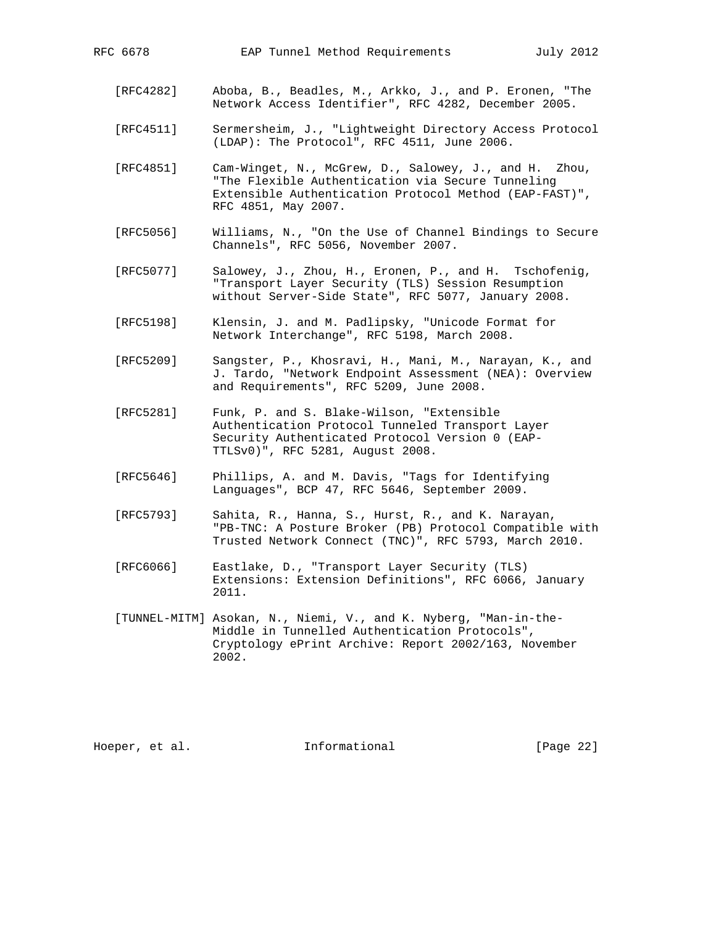- [RFC4282] Aboba, B., Beadles, M., Arkko, J., and P. Eronen, "The Network Access Identifier", RFC 4282, December 2005.
- [RFC4511] Sermersheim, J., "Lightweight Directory Access Protocol (LDAP): The Protocol", RFC 4511, June 2006.
- [RFC4851] Cam-Winget, N., McGrew, D., Salowey, J., and H. Zhou, "The Flexible Authentication via Secure Tunneling Extensible Authentication Protocol Method (EAP-FAST)", RFC 4851, May 2007.
- [RFC5056] Williams, N., "On the Use of Channel Bindings to Secure Channels", RFC 5056, November 2007.
- [RFC5077] Salowey, J., Zhou, H., Eronen, P., and H. Tschofenig, "Transport Layer Security (TLS) Session Resumption without Server-Side State", RFC 5077, January 2008.
- [RFC5198] Klensin, J. and M. Padlipsky, "Unicode Format for Network Interchange", RFC 5198, March 2008.
- [RFC5209] Sangster, P., Khosravi, H., Mani, M., Narayan, K., and J. Tardo, "Network Endpoint Assessment (NEA): Overview and Requirements", RFC 5209, June 2008.
- [RFC5281] Funk, P. and S. Blake-Wilson, "Extensible Authentication Protocol Tunneled Transport Layer Security Authenticated Protocol Version 0 (EAP- TTLSv0)", RFC 5281, August 2008.
- [RFC5646] Phillips, A. and M. Davis, "Tags for Identifying Languages", BCP 47, RFC 5646, September 2009.
- [RFC5793] Sahita, R., Hanna, S., Hurst, R., and K. Narayan, "PB-TNC: A Posture Broker (PB) Protocol Compatible with Trusted Network Connect (TNC)", RFC 5793, March 2010.
- [RFC6066] Eastlake, D., "Transport Layer Security (TLS) Extensions: Extension Definitions", RFC 6066, January 2011.
- [TUNNEL-MITM] Asokan, N., Niemi, V., and K. Nyberg, "Man-in-the- Middle in Tunnelled Authentication Protocols", Cryptology ePrint Archive: Report 2002/163, November 2002.